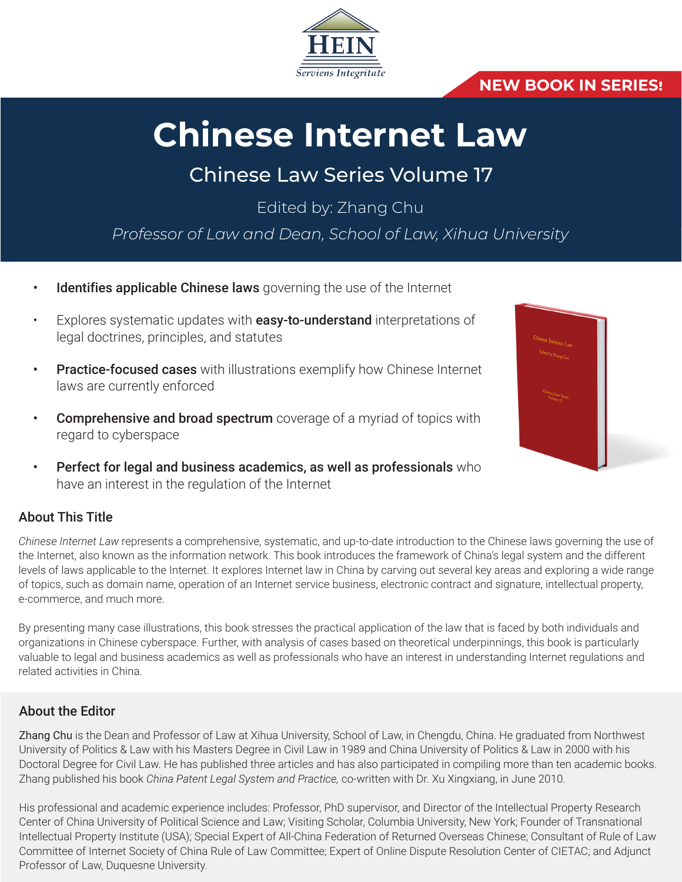

# **NEW BOOK IN SERIES!**

# **Chinese Internet Law**

# Chinese Law Series Volume 17

Edited by: Zhang Chu

*Professor of Law and Dean, School of Law, Xihua University*

- Identifies applicable Chinese laws governing the use of the Internet
- Explores systematic updates with **easy-to-understand** interpretations of legal doctrines, principles, and statutes
- **Practice-focused cases** with illustrations exemplify how Chinese Internet laws are currently enforced
- **Comprehensive and broad spectrum** coverage of a myriad of topics with regard to cyberspace
- Perfect for legal and business academics, as well as professionals who have an interest in the regulation of the Internet

### About This Title

*Chinese Internet Law* represents a comprehensive, systematic, and up-to-date introduction to the Chinese laws governing the use of the Internet, also known as the information network. This book introduces the framework of China's legal system and the different levels of laws applicable to the Internet. It explores Internet law in China by carving out several key areas and exploring a wide range of topics, such as domain name, operation of an Internet service business, electronic contract and signature, intellectual property, e-commerce, and much more.

By presenting many case illustrations, this book stresses the practical application of the law that is faced by both individuals and organizations in Chinese cyberspace. Further, with analysis of cases based on theoretical underpinnings, this book is particularly valuable to legal and business academics as well as professionals who have an interest in understanding Internet regulations and related activities in China.

#### About the Editor

Zhang Chu is the Dean and Professor of Law at Xihua University, School of Law, in Chengdu, China. He graduated from Northwest University of Politics & Law with his Masters Degree in Civil Law in 1989 and China University of Politics & Law in 2000 with his Doctoral Degree for Civil Law. He has published three articles and has also participated in compiling more than ten academic books. Zhang published his book *China Patent Legal System and Practice,* co-written with Dr. Xu Xingxiang, in June 2010.

His professional and academic experience includes: Professor, PhD supervisor, and Director of the Intellectual Property Research Center of China University of Political Science and Law; Visiting Scholar, Columbia University, New York; Founder of Transnational Intellectual Property Institute (USA); Special Expert of All-China Federation of Returned Overseas Chinese; Consultant of Rule of Law Committee of Internet Society of China Rule of Law Committee; Expert of Online Dispute Resolution Center of CIETAC; and Adjunct Professor of Law, Duquesne University.